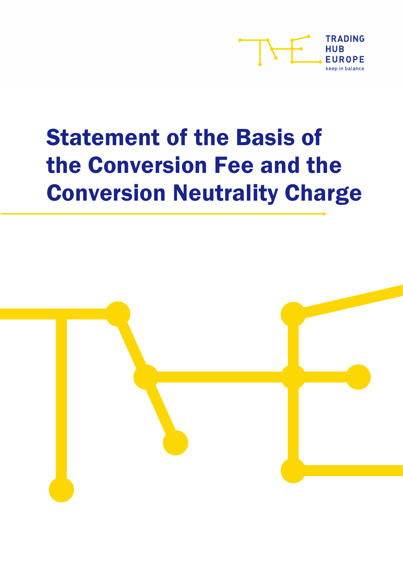

# Statement of the Basis of the Conversion Fee and the Conversion Neutrality Charge

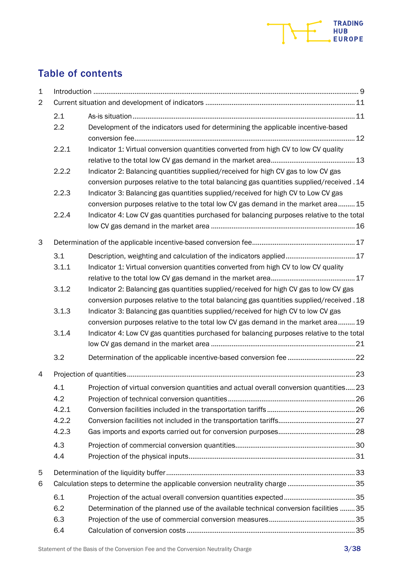

## Table of contents

| $\mathbf{1}$   |       |                                                                                           |  |
|----------------|-------|-------------------------------------------------------------------------------------------|--|
| $\overline{2}$ |       |                                                                                           |  |
|                | 2.1   |                                                                                           |  |
|                | 2.2   | Development of the indicators used for determining the applicable incentive-based         |  |
|                |       |                                                                                           |  |
|                | 2.2.1 | Indicator 1: Virtual conversion quantities converted from high CV to low CV quality       |  |
|                |       |                                                                                           |  |
|                | 2.2.2 | Indicator 2: Balancing quantities supplied/received for high CV gas to low CV gas         |  |
|                |       | conversion purposes relative to the total balancing gas quantities supplied/received . 14 |  |
|                | 2.2.3 | Indicator 3: Balancing gas quantities supplied/received for high CV to Low CV gas         |  |
|                |       | conversion purposes relative to the total low CV gas demand in the market area 15         |  |
|                | 2.2.4 | Indicator 4: Low CV gas quantities purchased for balancing purposes relative to the total |  |
|                |       |                                                                                           |  |
| 3              |       |                                                                                           |  |
|                | 3.1   | Description, weighting and calculation of the indicators applied 17                       |  |
|                | 3.1.1 | Indicator 1: Virtual conversion quantities converted from high CV to low CV quality       |  |
|                |       |                                                                                           |  |
|                | 3.1.2 | Indicator 2: Balancing gas quantities supplied/received for high CV gas to low CV gas     |  |
|                |       | conversion purposes relative to the total balancing gas quantities supplied/received . 18 |  |
|                | 3.1.3 | Indicator 3: Balancing gas quantities supplied/received for high CV to low CV gas         |  |
|                |       | conversion purposes relative to the total low CV gas demand in the market area 19         |  |
|                | 3.1.4 | Indicator 4: Low CV gas quantities purchased for balancing purposes relative to the total |  |
|                |       |                                                                                           |  |
|                | 3.2   |                                                                                           |  |
| 4              |       |                                                                                           |  |
|                | 4.1   | Projection of virtual conversion quantities and actual overall conversion quantities 23   |  |
|                | 4.2   |                                                                                           |  |
|                | 4.2.1 |                                                                                           |  |
|                | 4.2.2 |                                                                                           |  |
|                | 4.2.3 |                                                                                           |  |
|                | 4.3   |                                                                                           |  |
|                | 4.4   |                                                                                           |  |
| 5              |       |                                                                                           |  |
| 6              |       | Calculation steps to determine the applicable conversion neutrality charge 35             |  |
|                | 6.1   |                                                                                           |  |
|                | 6.2   | Determination of the planned use of the available technical conversion facilities  35     |  |
|                | 6.3   |                                                                                           |  |
|                | 6.4   |                                                                                           |  |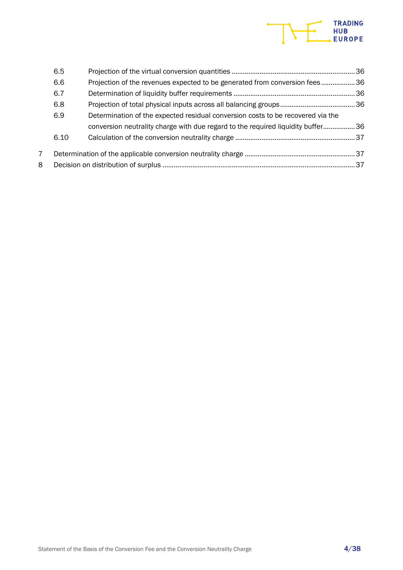# TRADING<br>HUB<br>EUROPE

|                | 6.5  |                                                                                 |  |
|----------------|------|---------------------------------------------------------------------------------|--|
|                | 6.6  | Projection of the revenues expected to be generated from conversion fees36      |  |
|                | 6.7  |                                                                                 |  |
|                | 6.8  |                                                                                 |  |
|                | 6.9  | Determination of the expected residual conversion costs to be recovered via the |  |
|                |      | conversion neutrality charge with due regard to the required liquidity buffer36 |  |
|                | 6.10 |                                                                                 |  |
| $\overline{7}$ |      |                                                                                 |  |
| 8              |      |                                                                                 |  |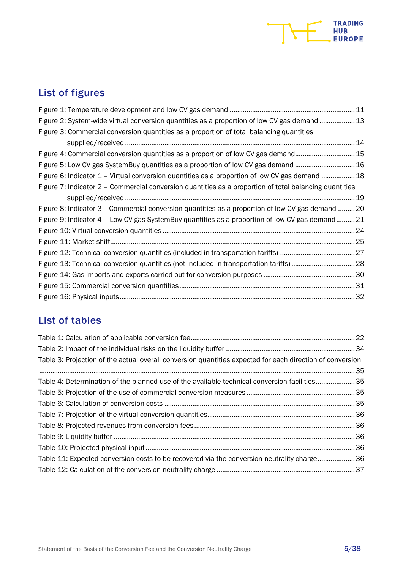

## List of figures

| Figure 2: System-wide virtual conversion quantities as a proportion of low CV gas demand  13           |  |
|--------------------------------------------------------------------------------------------------------|--|
| Figure 3: Commercial conversion quantities as a proportion of total balancing quantities               |  |
|                                                                                                        |  |
| Figure 4: Commercial conversion quantities as a proportion of low CV gas demand15                      |  |
| Figure 5: Low CV gas SystemBuy quantities as a proportion of low CV gas demand 16                      |  |
| Figure 6: Indicator 1 - Virtual conversion quantities as a proportion of low CV gas demand 18          |  |
| Figure 7: Indicator 2 – Commercial conversion quantities as a proportion of total balancing quantities |  |
|                                                                                                        |  |
| Figure 8: Indicator 3 - Commercial conversion quantities as a proportion of low CV gas demand  20      |  |
| Figure 9: Indicator 4 - Low CV gas SystemBuy quantities as a proportion of low CV gas demand21         |  |
|                                                                                                        |  |
|                                                                                                        |  |
|                                                                                                        |  |
| Figure 13: Technical conversion quantities (not included in transportation tariffs) 28                 |  |
|                                                                                                        |  |
|                                                                                                        |  |
|                                                                                                        |  |

## List of tables

| Table 3: Projection of the actual overall conversion quantities expected for each direction of conversion<br>Table 4: Determination of the planned use of the available technical conversion facilities35<br>Table 11: Expected conversion costs to be recovered via the conversion neutrality charge36 |  |
|---------------------------------------------------------------------------------------------------------------------------------------------------------------------------------------------------------------------------------------------------------------------------------------------------------|--|
|                                                                                                                                                                                                                                                                                                         |  |
|                                                                                                                                                                                                                                                                                                         |  |
|                                                                                                                                                                                                                                                                                                         |  |
|                                                                                                                                                                                                                                                                                                         |  |
|                                                                                                                                                                                                                                                                                                         |  |
|                                                                                                                                                                                                                                                                                                         |  |
|                                                                                                                                                                                                                                                                                                         |  |
|                                                                                                                                                                                                                                                                                                         |  |
|                                                                                                                                                                                                                                                                                                         |  |
|                                                                                                                                                                                                                                                                                                         |  |
|                                                                                                                                                                                                                                                                                                         |  |
|                                                                                                                                                                                                                                                                                                         |  |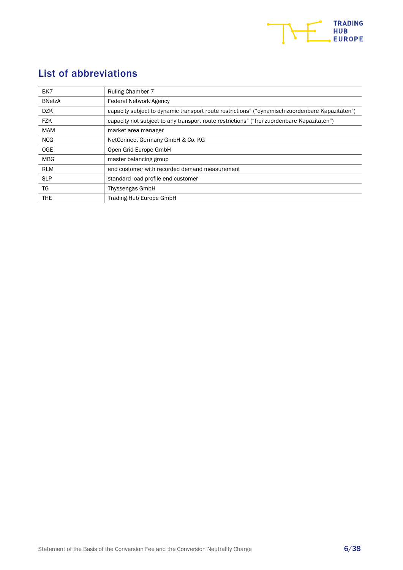

## List of abbreviations

| BK7           | <b>Ruling Chamber 7</b>                                                                         |
|---------------|-------------------------------------------------------------------------------------------------|
| <b>BNetzA</b> | <b>Federal Network Agency</b>                                                                   |
| <b>DZK</b>    | capacity subject to dynamic transport route restrictions" ("dynamisch zuordenbare Kapazitäten") |
| <b>FZK</b>    | capacity not subject to any transport route restrictions" ("frei zuordenbare Kapazitäten")      |
| <b>MAM</b>    | market area manager                                                                             |
| <b>NCG</b>    | NetConnect Germany GmbH & Co. KG                                                                |
| <b>OGE</b>    | Open Grid Europe GmbH                                                                           |
| <b>MBG</b>    | master balancing group                                                                          |
| <b>RLM</b>    | end customer with recorded demand measurement                                                   |
| <b>SLP</b>    | standard load profile end customer                                                              |
| TG            | Thyssengas GmbH                                                                                 |
| <b>THE</b>    | <b>Trading Hub Europe GmbH</b>                                                                  |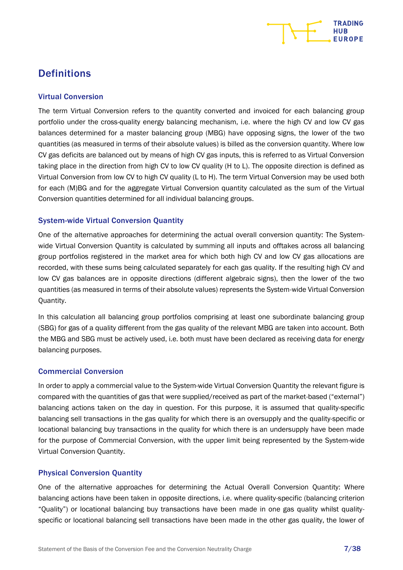

## **Definitions**

#### Virtual Conversion

The term Virtual Conversion refers to the quantity converted and invoiced for each balancing group portfolio under the cross-quality energy balancing mechanism, i.e. where the high CV and low CV gas balances determined for a master balancing group (MBG) have opposing signs, the lower of the two quantities (as measured in terms of their absolute values) is billed as the conversion quantity. Where low CV gas deficits are balanced out by means of high CV gas inputs, this is referred to as Virtual Conversion taking place in the direction from high CV to low CV quality (H to L). The opposite direction is defined as Virtual Conversion from low CV to high CV quality (L to H). The term Virtual Conversion may be used both for each (M)BG and for the aggregate Virtual Conversion quantity calculated as the sum of the Virtual Conversion quantities determined for all individual balancing groups.

#### System-wide Virtual Conversion Quantity

One of the alternative approaches for determining the actual overall conversion quantity: The Systemwide Virtual Conversion Quantity is calculated by summing all inputs and offtakes across all balancing group portfolios registered in the market area for which both high CV and low CV gas allocations are recorded, with these sums being calculated separately for each gas quality. If the resulting high CV and low CV gas balances are in opposite directions (different algebraic signs), then the lower of the two quantities (as measured in terms of their absolute values) represents the System-wide Virtual Conversion Quantity.

In this calculation all balancing group portfolios comprising at least one subordinate balancing group (SBG) for gas of a quality different from the gas quality of the relevant MBG are taken into account. Both the MBG and SBG must be actively used, i.e. both must have been declared as receiving data for energy balancing purposes.

#### Commercial Conversion

In order to apply a commercial value to the System-wide Virtual Conversion Quantity the relevant figure is compared with the quantities of gas that were supplied/received as part of the market-based ("external") balancing actions taken on the day in question. For this purpose, it is assumed that quality-specific balancing sell transactions in the gas quality for which there is an oversupply and the quality-specific or locational balancing buy transactions in the quality for which there is an undersupply have been made for the purpose of Commercial Conversion, with the upper limit being represented by the System-wide Virtual Conversion Quantity.

#### Physical Conversion Quantity

One of the alternative approaches for determining the Actual Overall Conversion Quantity: Where balancing actions have been taken in opposite directions, i.e. where quality-specific (balancing criterion "Quality") or locational balancing buy transactions have been made in one gas quality whilst qualityspecific or locational balancing sell transactions have been made in the other gas quality, the lower of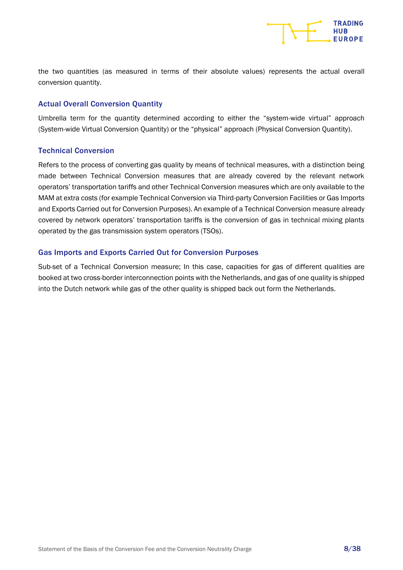

the two quantities (as measured in terms of their absolute values) represents the actual overall conversion quantity.

#### Actual Overall Conversion Quantity

Umbrella term for the quantity determined according to either the "system-wide virtual" approach (System-wide Virtual Conversion Quantity) or the "physical" approach (Physical Conversion Quantity).

#### Technical Conversion

Refers to the process of converting gas quality by means of technical measures, with a distinction being made between Technical Conversion measures that are already covered by the relevant network operators' transportation tariffs and other Technical Conversion measures which are only available to the MAM at extra costs (for example Technical Conversion via Third-party Conversion Facilities or Gas Imports and Exports Carried out for Conversion Purposes). An example of a Technical Conversion measure already covered by network operators' transportation tariffs is the conversion of gas in technical mixing plants operated by the gas transmission system operators (TSOs).

#### Gas Imports and Exports Carried Out for Conversion Purposes

Sub-set of a Technical Conversion measure; In this case, capacities for gas of different qualities are booked at two cross-border interconnection points with the Netherlands, and gas of one quality is shipped into the Dutch network while gas of the other quality is shipped back out form the Netherlands.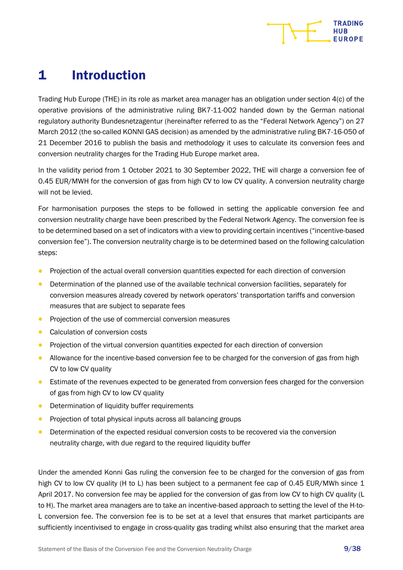

# <span id="page-8-0"></span>1 Introduction

Trading Hub Europe (THE) in its role as market area manager has an obligation under section 4(c) of the operative provisions of the administrative ruling BK7-11-002 handed down by the German national regulatory authority Bundesnetzagentur (hereinafter referred to as the "Federal Network Agency") on 27 March 2012 (the so-called KONNI GAS decision) as amended by the administrative ruling BK7-16-050 of 21 December 2016 to publish the basis and methodology it uses to calculate its conversion fees and conversion neutrality charges for the Trading Hub Europe market area.

In the validity period from 1 October 2021 to 30 September 2022, THE will charge a conversion fee of 0.45 EUR/MWH for the conversion of gas from high CV to low CV quality. A conversion neutrality charge will not be levied.

For harmonisation purposes the steps to be followed in setting the applicable conversion fee and conversion neutrality charge have been prescribed by the Federal Network Agency. The conversion fee is to be determined based on a set of indicators with a view to providing certain incentives ("incentive-based conversion fee"). The conversion neutrality charge is to be determined based on the following calculation steps:

- Projection of the actual overall conversion quantities expected for each direction of conversion
- Determination of the planned use of the available technical conversion facilities, separately for conversion measures already covered by network operators' transportation tariffs and conversion measures that are subject to separate fees
- Projection of the use of commercial conversion measures
- Calculation of conversion costs
- Projection of the virtual conversion quantities expected for each direction of conversion
- Allowance for the incentive-based conversion fee to be charged for the conversion of gas from high CV to low CV quality
- Estimate of the revenues expected to be generated from conversion fees charged for the conversion of gas from high CV to low CV quality
- Determination of liquidity buffer requirements
- Projection of total physical inputs across all balancing groups
- Determination of the expected residual conversion costs to be recovered via the conversion neutrality charge, with due regard to the required liquidity buffer

Under the amended Konni Gas ruling the conversion fee to be charged for the conversion of gas from high CV to low CV quality (H to L) has been subject to a permanent fee cap of 0.45 EUR/MWh since 1 April 2017. No conversion fee may be applied for the conversion of gas from low CV to high CV quality (L to H). The market area managers are to take an incentive-based approach to setting the level of the H-to-L conversion fee. The conversion fee is to be set at a level that ensures that market participants are sufficiently incentivised to engage in cross-quality gas trading whilst also ensuring that the market area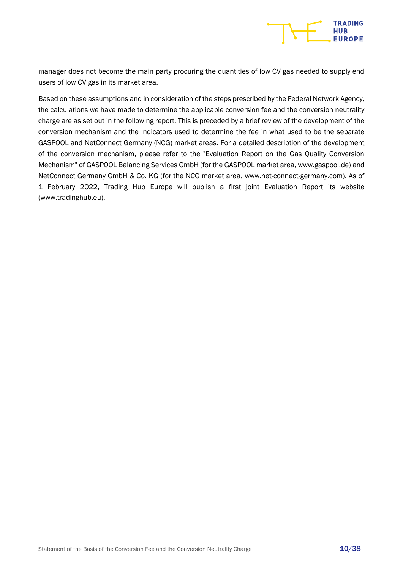

manager does not become the main party procuring the quantities of low CV gas needed to supply end users of low CV gas in its market area.

Based on these assumptions and in consideration of the steps prescribed by the Federal Network Agency, the calculations we have made to determine the applicable conversion fee and the conversion neutrality charge are as set out in the following report. This is preceded by a brief review of the development of the conversion mechanism and the indicators used to determine the fee in what used to be the separate GASPOOL and NetConnect Germany (NCG) market areas. For a detailed description of the development of the conversion mechanism, please refer to the "Evaluation Report on the Gas Quality Conversion Mechanism" of GASPOOL Balancing Services GmbH (for the GASPOOL market area, www.gaspool.de) and NetConnect Germany GmbH & Co. KG (for the NCG market area, www.net-connect-germany.com). As of 1 February 2022, Trading Hub Europe will publish a first joint Evaluation Report its website (www.tradinghub.eu).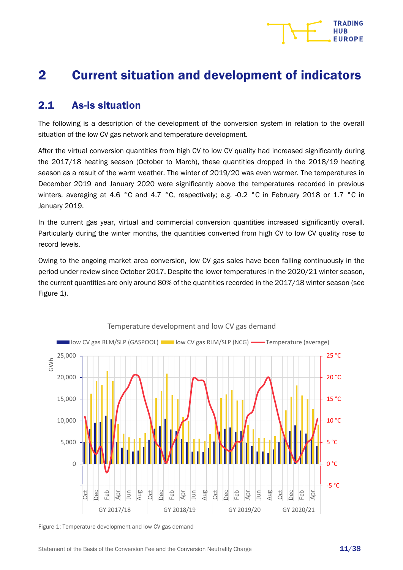# <span id="page-10-0"></span>2 Current situation and development of indicators

## <span id="page-10-1"></span>2.1 As-is situation

The following is a description of the development of the conversion system in relation to the overall situation of the low CV gas network and temperature development.

After the virtual conversion quantities from high CV to low CV quality had increased significantly during the 2017/18 heating season (October to March), these quantities dropped in the 2018/19 heating season as a result of the warm weather. The winter of 2019/20 was even warmer. The temperatures in December 2019 and January 2020 were significantly above the temperatures recorded in previous winters, averaging at 4.6 °C and 4.7 °C, respectively; e.g. -0.2 °C in February 2018 or 1.7 °C in January 2019.

In the current gas year, virtual and commercial conversion quantities increased significantly overall. Particularly during the winter months, the quantities converted from high CV to low CV quality rose to record levels.

Owing to the ongoing market area conversion, low CV gas sales have been falling continuously in the period under review since October 2017. Despite the lower temperatures in the 2020/21 winter season, the current quantities are only around 80% of the quantities recorded in the 2017/18 winter season (see [Figure](#page-10-2) 1).



<span id="page-10-2"></span>Figure 1: Temperature development and low CV gas demand

**TRADING** HUR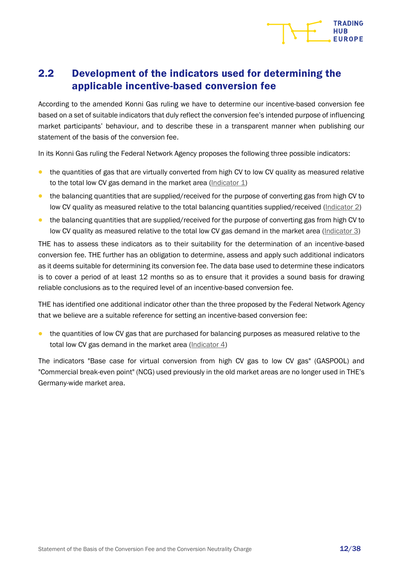

## <span id="page-11-0"></span>2.2 Development of the indicators used for determining the applicable incentive-based conversion fee

According to the amended Konni Gas ruling we have to determine our incentive-based conversion fee based on a set of suitable indicators that duly reflect the conversion fee's intended purpose of influencing market participants' behaviour, and to describe these in a transparent manner when publishing our statement of the basis of the conversion fee.

In its Konni Gas ruling the Federal Network Agency proposes the following three possible indicators:

- the quantities of gas that are virtually converted from high CV to low CV quality as measured relative to the total low CV gas demand in the market area  $(Indication 1)$
- the balancing quantities that are supplied/received for the purpose of converting gas from high CV to low CV quality as measured relative to the total balancing quantities supplied/received [\(Indicator](#page-17-0) 2)
- the balancing quantities that are supplied/received for the purpose of converting gas from high CV to low CV quality as measured relative to the total low CV gas demand in the market area [\(Indicator](#page-18-0) 3)

THE has to assess these indicators as to their suitability for the determination of an incentive-based conversion fee. THE further has an obligation to determine, assess and apply such additional indicators as it deems suitable for determining its conversion fee. The data base used to determine these indicators is to cover a period of at least 12 months so as to ensure that it provides a sound basis for drawing reliable conclusions as to the required level of an incentive-based conversion fee.

THE has identified one additional indicator other than the three proposed by the Federal Network Agency that we believe are a suitable reference for setting an incentive-based conversion fee:

• the quantities of low CV gas that are purchased for balancing purposes as measured relative to the total low CV gas demand in the market area [\(Indicator 4\)](#page-20-0)

The indicators "Base case for virtual conversion from high CV gas to low CV gas" (GASPOOL) and "Commercial break-even point" (NCG) used previously in the old market areas are no longer used in THE's Germany-wide market area.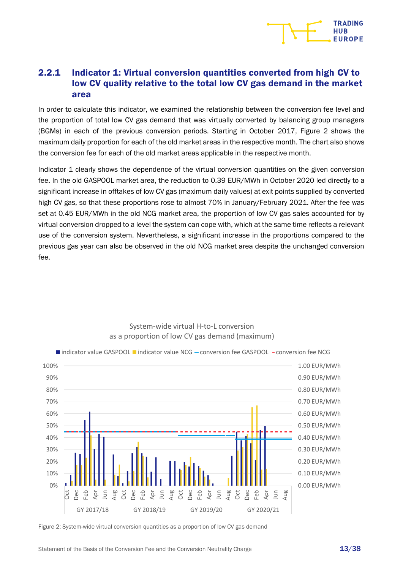

#### <span id="page-12-0"></span>2.2.1 Indicator 1: Virtual conversion quantities converted from high CV to low CV quality relative to the total low CV gas demand in the market area

In order to calculate this indicator, we examined the relationship between the conversion fee level and the proportion of total low CV gas demand that was virtually converted by balancing group managers (BGMs) in each of the previous conversion periods. Starting in October 2017, Figure 2 shows the maximum daily proportion for each of the old market areas in the respective month. The chart also shows the conversion fee for each of the old market areas applicable in the respective month.

Indicator 1 clearly shows the dependence of the virtual conversion quantities on the given conversion fee. In the old GASPOOL market area, the reduction to 0.39 EUR/MWh in October 2020 led directly to a significant increase in offtakes of low CV gas (maximum daily values) at exit points supplied by converted high CV gas, so that these proportions rose to almost 70% in January/February 2021. After the fee was set at 0.45 EUR/MWh in the old NCG market area, the proportion of low CV gas sales accounted for by virtual conversion dropped to a level the system can cope with, which at the same time reflects a relevant use of the conversion system. Nevertheless, a significant increase in the proportions compared to the previous gas year can also be observed in the old NCG market area despite the unchanged conversion fee.



#### System-wide virtual H-to-L conversion as a proportion of low CV gas demand (maximum)

<span id="page-12-1"></span>Figure 2: System-wide virtual conversion quantities as a proportion of low CV gas demand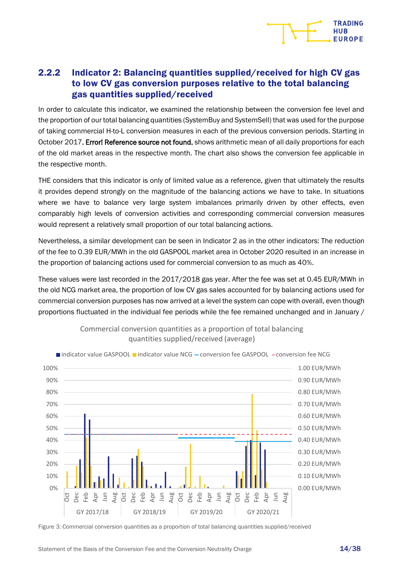

#### <span id="page-13-0"></span>2.2.2 Indicator 2: Balancing quantities supplied/received for high CV gas to low CV gas conversion purposes relative to the total balancing gas quantities supplied/received

In order to calculate this indicator, we examined the relationship between the conversion fee level and the proportion of our total balancing quantities (SystemBuy and SystemSell) that was used for the purpose of taking commercial H-to-L conversion measures in each of the previous conversion periods. Starting in October 2017, Error! Reference source not found. shows arithmetic mean of all daily proportions for each of the old market areas in the respective month. The chart also shows the conversion fee applicable in the respective month.

THE considers that this indicator is only of limited value as a reference, given that ultimately the results it provides depend strongly on the magnitude of the balancing actions we have to take. In situations where we have to balance very large system imbalances primarily driven by other effects, even comparably high levels of conversion activities and corresponding commercial conversion measures would represent a relatively small proportion of our total balancing actions.

Nevertheless, a similar development can be seen in Indicator 2 as in the other indicators: The reduction of the fee to 0.39 EUR/MWh in the old GASPOOL market area in October 2020 resulted in an increase in the proportion of balancing actions used for commercial conversion to as much as 40%.

These values were last recorded in the 2017/2018 gas year. After the fee was set at 0.45 EUR/MWh in the old NCG market area, the proportion of low CV gas sales accounted for by balancing actions used for commercial conversion purposes has now arrived at a level the system can cope with overall, even though proportions fluctuated in the individual fee periods while the fee remained unchanged and in January /



Commercial conversion quantities as a proportion of total balancing quantities supplied/received (average)

<span id="page-13-1"></span>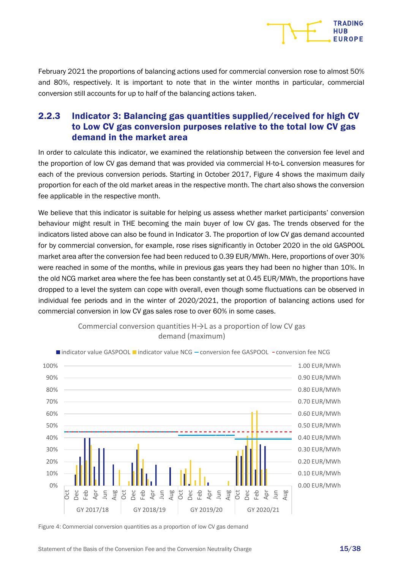

February 2021 the proportions of balancing actions used for commercial conversion rose to almost 50% and 80%, respectively. It is important to note that in the winter months in particular, commercial conversion still accounts for up to half of the balancing actions taken.

#### <span id="page-14-0"></span>2.2.3 Indicator 3: Balancing gas quantities supplied/received for high CV to Low CV gas conversion purposes relative to the total low CV gas demand in the market area

In order to calculate this indicator, we examined the relationship between the conversion fee level and the proportion of low CV gas demand that was provided via commercial H-to-L conversion measures for each of the previous conversion periods. Starting in October 2017, [Figure](#page-14-1) 4 shows the maximum daily proportion for each of the old market areas in the respective month. The chart also shows the conversion fee applicable in the respective month.

We believe that this indicator is suitable for helping us assess whether market participants' conversion behaviour might result in THE becoming the main buyer of low CV gas. The trends observed for the indicators listed above can also be found in Indicator 3. The proportion of low CV gas demand accounted for by commercial conversion, for example, rose rises significantly in October 2020 in the old GASPOOL market area after the conversion fee had been reduced to 0.39 EUR/MWh. Here, proportions of over 30% were reached in some of the months, while in previous gas years they had been no higher than 10%. In the old NCG market area where the fee has been constantly set at 0.45 EUR/MWh, the proportions have dropped to a level the system can cope with overall, even though some fluctuations can be observed in individual fee periods and in the winter of 2020/2021, the proportion of balancing actions used for commercial conversion in low CV gas sales rose to over 60% in some cases.





<span id="page-14-1"></span>Figure 4: Commercial conversion quantities as a proportion of low CV gas demand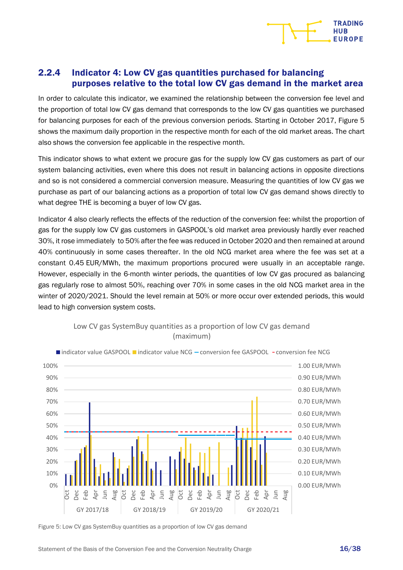

#### <span id="page-15-0"></span>2.2.4 Indicator 4: Low CV gas quantities purchased for balancing purposes relative to the total low CV gas demand in the market area

In order to calculate this indicator, we examined the relationship between the conversion fee level and the proportion of total low CV gas demand that corresponds to the low CV gas quantities we purchased for balancing purposes for each of the previous conversion periods. Starting in October 2017, [Figure](#page-15-1) 5 shows the maximum daily proportion in the respective month for each of the old market areas. The chart also shows the conversion fee applicable in the respective month.

This indicator shows to what extent we procure gas for the supply low CV gas customers as part of our system balancing activities, even where this does not result in balancing actions in opposite directions and so is not considered a commercial conversion measure. Measuring the quantities of low CV gas we purchase as part of our balancing actions as a proportion of total low CV gas demand shows directly to what degree THE is becoming a buyer of low CV gas.

Indicator 4 also clearly reflects the effects of the reduction of the conversion fee: whilst the proportion of gas for the supply low CV gas customers in GASPOOL's old market area previously hardly ever reached 30%, it rose immediately to 50% after the fee was reduced in October 2020 and then remained at around 40% continuously in some cases thereafter. In the old NCG market area where the fee was set at a constant 0.45 EUR/MWh, the maximum proportions procured were usually in an acceptable range. However, especially in the 6-month winter periods, the quantities of low CV gas procured as balancing gas regularly rose to almost 50%, reaching over 70% in some cases in the old NCG market area in the winter of 2020/2021. Should the level remain at 50% or more occur over extended periods, this would lead to high conversion system costs.



#### Low CV gas SystemBuy quantities as a proportion of low CV gas demand (maximum)

<span id="page-15-1"></span>Figure 5: Low CV gas SystemBuy quantities as a proportion of low CV gas demand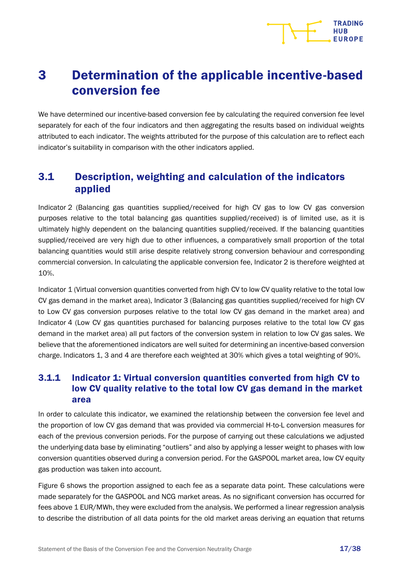

# <span id="page-16-0"></span>3 Determination of the applicable incentive-based conversion fee

We have determined our incentive-based conversion fee by calculating the required conversion fee level separately for each of the four indicators and then aggregating the results based on individual weights attributed to each indicator. The weights attributed for the purpose of this calculation are to reflect each indicator's suitability in comparison with the other indicators applied.

## <span id="page-16-1"></span>3.1 Description, weighting and calculation of the indicators applied

Indicator 2 (Balancing gas quantities supplied/received for high CV gas to low CV gas conversion purposes relative to the total balancing gas quantities supplied/received) is of limited use, as it is ultimately highly dependent on the balancing quantities supplied/received. If the balancing quantities supplied/received are very high due to other influences, a comparatively small proportion of the total balancing quantities would still arise despite relatively strong conversion behaviour and corresponding commercial conversion. In calculating the applicable conversion fee, Indicator 2 is therefore weighted at 10%.

Indicator 1 (Virtual conversion quantities converted from high CV to low CV quality relative to the total low CV gas demand in the market area), Indicator 3 (Balancing gas quantities supplied/received for high CV to Low CV gas conversion purposes relative to the total low CV gas demand in the market area) and Indicator 4 (Low CV gas quantities purchased for balancing purposes relative to the total low CV gas demand in the market area) all put factors of the conversion system in relation to low CV gas sales. We believe that the aforementioned indicators are well suited for determining an incentive-based conversion charge. Indicators 1, 3 and 4 are therefore each weighted at 30% which gives a total weighting of 90%.

### <span id="page-16-2"></span>3.1.1 Indicator 1: Virtual conversion quantities converted from high CV to low CV quality relative to the total low CV gas demand in the market area

In order to calculate this indicator, we examined the relationship between the conversion fee level and the proportion of low CV gas demand that was provided via commercial H-to-L conversion measures for each of the previous conversion periods. For the purpose of carrying out these calculations we adjusted the underlying data base by eliminating "outliers" and also by applying a lesser weight to phases with low conversion quantities observed during a conversion period. For the GASPOOL market area, low CV equity gas production was taken into account.

[Figure](#page-17-1) 6 shows the proportion assigned to each fee as a separate data point. These calculations were made separately for the GASPOOL and NCG market areas. As no significant conversion has occurred for fees above 1 EUR/MWh, they were excluded from the analysis. We performed a linear regression analysis to describe the distribution of all data points for the old market areas deriving an equation that returns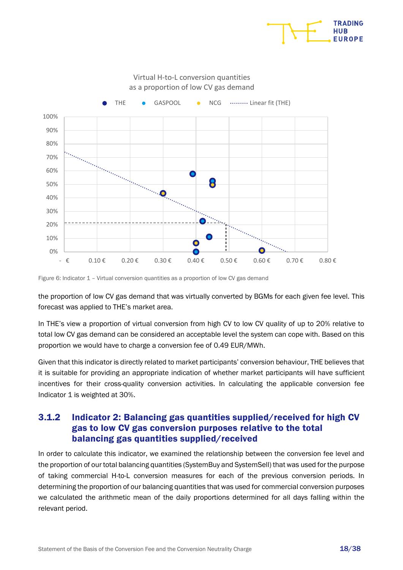

#### Virtual H-to-L conversion quantities as a proportion of low CV gas demand



<span id="page-17-1"></span>Figure 6: Indicator 1 – Virtual conversion quantities as a proportion of low CV gas demand

the proportion of low CV gas demand that was virtually converted by BGMs for each given fee level. This forecast was applied to THE's market area.

In THE's view a proportion of virtual conversion from high CV to low CV quality of up to 20% relative to total low CV gas demand can be considered an acceptable level the system can cope with. Based on this proportion we would have to charge a conversion fee of 0.49 EUR/MWh.

Given that this indicator is directly related to market participants' conversion behaviour, THE believes that it is suitable for providing an appropriate indication of whether market participants will have sufficient incentives for their cross-quality conversion activities. In calculating the applicable conversion fee Indicator 1 is weighted at 30%.

#### <span id="page-17-0"></span>3.1.2 Indicator 2: Balancing gas quantities supplied/received for high CV gas to low CV gas conversion purposes relative to the total balancing gas quantities supplied/received

In order to calculate this indicator, we examined the relationship between the conversion fee level and the proportion of our total balancing quantities (SystemBuy and SystemSell) that was used for the purpose of taking commercial H-to-L conversion measures for each of the previous conversion periods. In determining the proportion of our balancing quantities that was used for commercial conversion purposes we calculated the arithmetic mean of the daily proportions determined for all days falling within the relevant period.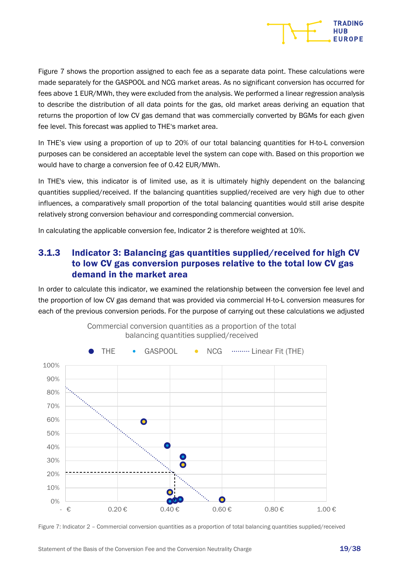

[Figure](#page-18-1) 7 shows the proportion assigned to each fee as a separate data point. These calculations were made separately for the GASPOOL and NCG market areas. As no significant conversion has occurred for fees above 1 EUR/MWh, they were excluded from the analysis. We performed a linear regression analysis to describe the distribution of all data points for the gas, old market areas deriving an equation that returns the proportion of low CV gas demand that was commercially converted by BGMs for each given fee level. This forecast was applied to THE's market area.

In THE's view using a proportion of up to 20% of our total balancing quantities for H-to-L conversion purposes can be considered an acceptable level the system can cope with. Based on this proportion we would have to charge a conversion fee of 0.42 EUR/MWh.

In THE's view, this indicator is of limited use, as it is ultimately highly dependent on the balancing quantities supplied/received. If the balancing quantities supplied/received are very high due to other influences, a comparatively small proportion of the total balancing quantities would still arise despite relatively strong conversion behaviour and corresponding commercial conversion.

In calculating the applicable conversion fee, Indicator 2 is therefore weighted at 10%.

#### <span id="page-18-0"></span>3.1.3 Indicator 3: Balancing gas quantities supplied/received for high CV to low CV gas conversion purposes relative to the total low CV gas demand in the market area

In order to calculate this indicator, we examined the relationship between the conversion fee level and the proportion of low CV gas demand that was provided via commercial H-to-L conversion measures for each of the previous conversion periods. For the purpose of carrying out these calculations we adjusted



Commercial conversion quantities as a proportion of the total balancing quantities supplied/received

<span id="page-18-1"></span>Figure 7: Indicator 2 – Commercial conversion quantities as a proportion of total balancing quantities supplied/received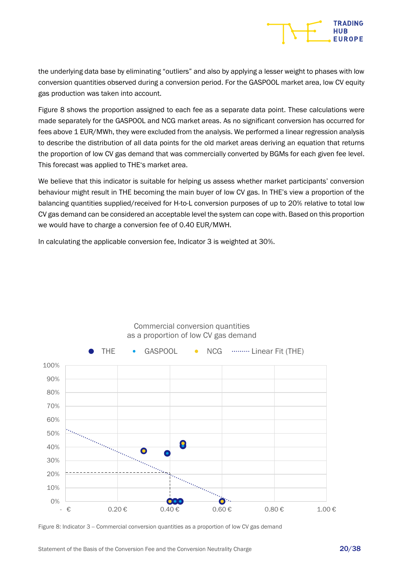the underlying data base by eliminating "outliers" and also by applying a lesser weight to phases with low conversion quantities observed during a conversion period. For the GASPOOL market area, low CV equity gas production was taken into account.

[Figure](#page-19-0) 8 shows the proportion assigned to each fee as a separate data point. These calculations were made separately for the GASPOOL and NCG market areas. As no significant conversion has occurred for fees above 1 EUR/MWh, they were excluded from the analysis. We performed a linear regression analysis to describe the distribution of all data points for the old market areas deriving an equation that returns the proportion of low CV gas demand that was commercially converted by BGMs for each given fee level. This forecast was applied to THE's market area.

We believe that this indicator is suitable for helping us assess whether market participants' conversion behaviour might result in THE becoming the main buyer of low CV gas. In THE's view a proportion of the balancing quantities supplied/received for H-to-L conversion purposes of up to 20% relative to total low CV gas demand can be considered an acceptable level the system can cope with. Based on this proportion we would have to charge a conversion fee of 0.40 EUR/MWH.

In calculating the applicable conversion fee, Indicator 3 is weighted at 30%.



Commercial conversion quantities as a proportion of low CV gas demand

<span id="page-19-0"></span>Figure 8: Indicator 3 -- Commercial conversion quantities as a proportion of low CV gas demand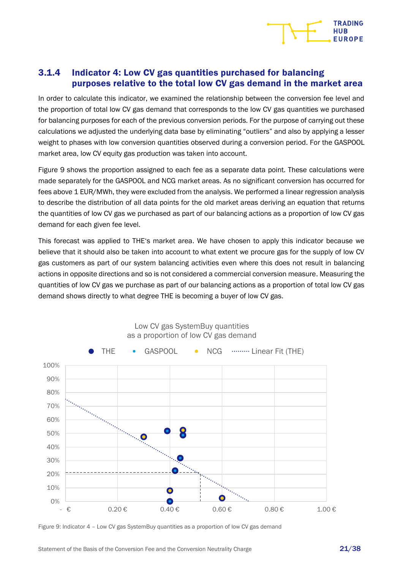

#### <span id="page-20-0"></span>3.1.4 Indicator 4: Low CV gas quantities purchased for balancing purposes relative to the total low CV gas demand in the market area

In order to calculate this indicator, we examined the relationship between the conversion fee level and the proportion of total low CV gas demand that corresponds to the low CV gas quantities we purchased for balancing purposes for each of the previous conversion periods. For the purpose of carrying out these calculations we adjusted the underlying data base by eliminating "outliers" and also by applying a lesser weight to phases with low conversion quantities observed during a conversion period. For the GASPOOL market area, low CV equity gas production was taken into account.

[Figure](#page-20-1) 9 shows the proportion assigned to each fee as a separate data point. These calculations were made separately for the GASPOOL and NCG market areas. As no significant conversion has occurred for fees above 1 EUR/MWh, they were excluded from the analysis. We performed a linear regression analysis to describe the distribution of all data points for the old market areas deriving an equation that returns the quantities of low CV gas we purchased as part of our balancing actions as a proportion of low CV gas demand for each given fee level.

This forecast was applied to THE's market area. We have chosen to apply this indicator because we believe that it should also be taken into account to what extent we procure gas for the supply of low CV gas customers as part of our system balancing activities even where this does not result in balancing actions in opposite directions and so is not considered a commercial conversion measure. Measuring the quantities of low CV gas we purchase as part of our balancing actions as a proportion of total low CV gas demand shows directly to what degree THE is becoming a buyer of low CV gas.



Low CV gas SystemBuy quantities as a proportion of low CV gas demand

<span id="page-20-1"></span>Figure 9: Indicator 4 – Low CV gas SystemBuy quantities as a proportion of low CV gas demand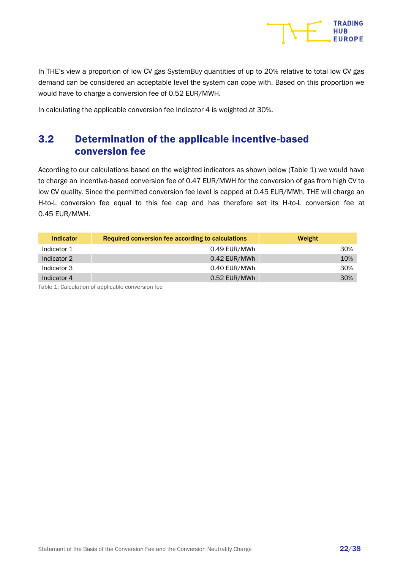

In THE's view a proportion of low CV gas SystemBuy quantities of up to 20% relative to total low CV gas demand can be considered an acceptable level the system can cope with. Based on this proportion we would have to charge a conversion fee of 0.52 EUR/MWH.

In calculating the applicable conversion fee Indicator 4 is weighted at 30%.

## <span id="page-21-0"></span>3.2 Determination of the applicable incentive-based conversion fee

According to our calculations based on the weighted indicators as shown below [\(Table 1\)](#page-21-1) we would have to charge an incentive-based conversion fee of 0.47 EUR/MWH for the conversion of gas from high CV to low CV quality. Since the permitted conversion fee level is capped at 0.45 EUR/MWh, THE will charge an H-to-L conversion fee equal to this fee cap and has therefore set its H-to-L conversion fee at 0.45 EUR/MWH.

| <b>Indicator</b> | Required conversion fee according to calculations | Weight |
|------------------|---------------------------------------------------|--------|
| Indicator 1      | 0.49 EUR/MWh                                      | 30%    |
| Indicator 2      | 0.42 EUR/MWh                                      | 10%    |
| Indicator 3      | 0.40 EUR/MWh                                      | 30%    |
| Indicator 4      | 0.52 EUR/MWh                                      | 30%    |

<span id="page-21-1"></span>Table 1: Calculation of applicable conversion fee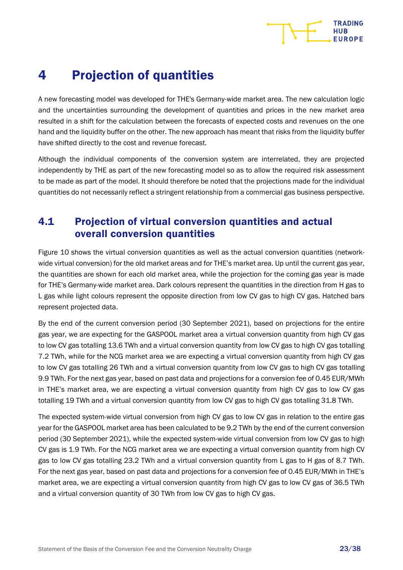# **HUR**

# <span id="page-22-0"></span>4 Projection of quantities

A new forecasting model was developed for THE's Germany-wide market area. The new calculation logic and the uncertainties surrounding the development of quantities and prices in the new market area resulted in a shift for the calculation between the forecasts of expected costs and revenues on the one hand and the liquidity buffer on the other. The new approach has meant that risks from the liquidity buffer have shifted directly to the cost and revenue forecast.

Although the individual components of the conversion system are interrelated, they are projected independently by THE as part of the new forecasting model so as to allow the required risk assessment to be made as part of the model. It should therefore be noted that the projections made for the individual quantities do not necessarily reflect a stringent relationship from a commercial gas business perspective.

## <span id="page-22-1"></span>4.1 Projection of virtual conversion quantities and actual overall conversion quantities

[Figure](#page-23-0) 10 shows the virtual conversion quantities as well as the actual conversion quantities (networkwide virtual conversion) for the old market areas and for THE's market area. Up until the current gas year, the quantities are shown for each old market area, while the projection for the coming gas year is made for THE's Germany-wide market area. Dark colours represent the quantities in the direction from H gas to L gas while light colours represent the opposite direction from low CV gas to high CV gas. Hatched bars represent projected data.

By the end of the current conversion period (30 September 2021), based on projections for the entire gas year, we are expecting for the GASPOOL market area a virtual conversion quantity from high CV gas to low CV gas totalling 13.6 TWh and a virtual conversion quantity from low CV gas to high CV gas totalling 7.2 TWh, while for the NCG market area we are expecting a virtual conversion quantity from high CV gas to low CV gas totalling 26 TWh and a virtual conversion quantity from low CV gas to high CV gas totalling 9.9 TWh. For the next gas year, based on past data and projections for a conversion fee of 0.45 EUR/MWh in THE's market area, we are expecting a virtual conversion quantity from high CV gas to low CV gas totalling 19 TWh and a virtual conversion quantity from low CV gas to high CV gas totalling 31.8 TWh.

The expected system-wide virtual conversion from high CV gas to low CV gas in relation to the entire gas year for the GASPOOL market area has been calculated to be 9.2 TWh by the end of the current conversion period (30 September 2021), while the expected system-wide virtual conversion from low CV gas to high CV gas is 1.9 TWh. For the NCG market area we are expecting a virtual conversion quantity from high CV gas to low CV gas totalling 23.2 TWh and a virtual conversion quantity from L gas to H gas of 8.7 TWh. For the next gas year, based on past data and projections for a conversion fee of 0.45 EUR/MWh in THE's market area, we are expecting a virtual conversion quantity from high CV gas to low CV gas of 36.5 TWh and a virtual conversion quantity of 30 TWh from low CV gas to high CV gas.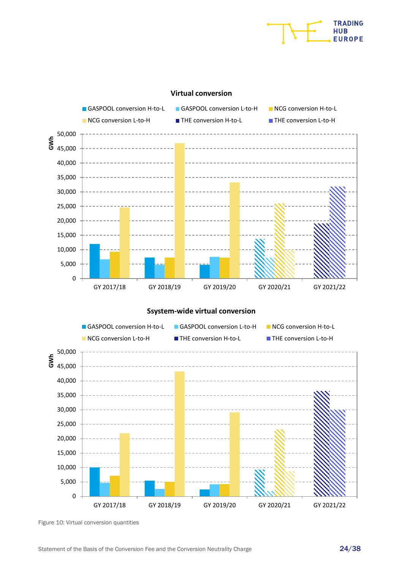

#### **Virtual conversion**



<span id="page-23-0"></span>Figure 10: Virtual conversion quantities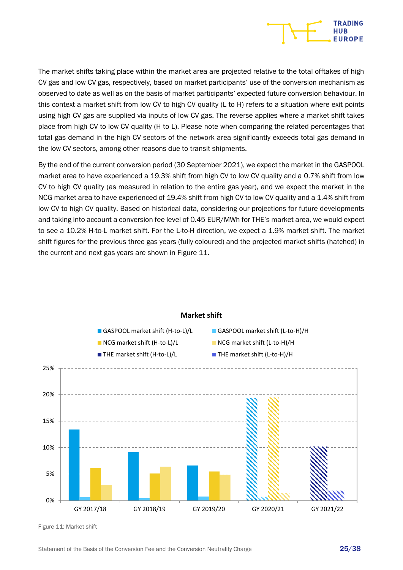

The market shifts taking place within the market area are projected relative to the total offtakes of high CV gas and low CV gas, respectively, based on market participants' use of the conversion mechanism as observed to date as well as on the basis of market participants' expected future conversion behaviour. In this context a market shift from low CV to high CV quality (L to H) refers to a situation where exit points using high CV gas are supplied via inputs of low CV gas. The reverse applies where a market shift takes place from high CV to low CV quality (H to L). Please note when comparing the related percentages that total gas demand in the high CV sectors of the network area significantly exceeds total gas demand in the low CV sectors, among other reasons due to transit shipments.

By the end of the current conversion period (30 September 2021), we expect the market in the GASPOOL market area to have experienced a 19.3% shift from high CV to low CV quality and a 0.7% shift from low CV to high CV quality (as measured in relation to the entire gas year), and we expect the market in the NCG market area to have experienced of 19.4% shift from high CV to low CV quality and a 1.4% shift from low CV to high CV quality. Based on historical data, considering our projections for future developments and taking into account a conversion fee level of 0.45 EUR/MWh for THE's market area, we would expect to see a 10.2% H-to-L market shift. For the L-to-H direction, we expect a 1.9% market shift. The market shift figures for the previous three gas years (fully coloured) and the projected market shifts (hatched) in the current and next gas years are shown in [Figure](#page-24-0) 11.



#### **Market shift**

<span id="page-24-0"></span>Figure 11: Market shift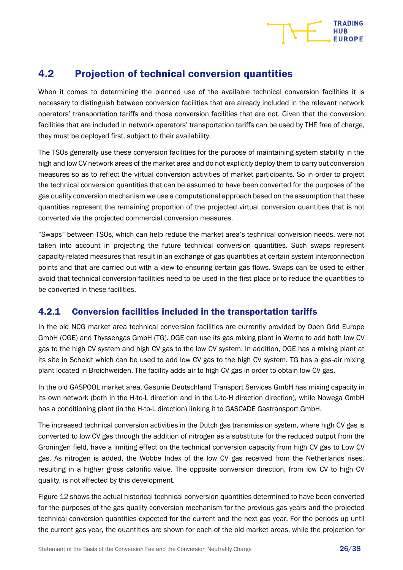

## <span id="page-25-0"></span>4.2 Projection of technical conversion quantities

When it comes to determining the planned use of the available technical conversion facilities it is necessary to distinguish between conversion facilities that are already included in the relevant network operators' transportation tariffs and those conversion facilities that are not. Given that the conversion facilities that are included in network operators' transportation tariffs can be used by THE free of charge, they must be deployed first, subject to their availability.

The TSOs generally use these conversion facilities for the purpose of maintaining system stability in the high and low CV network areas of the market area and do not explicitly deploy them to carry out conversion measures so as to reflect the virtual conversion activities of market participants. So in order to project the technical conversion quantities that can be assumed to have been converted for the purposes of the gas quality conversion mechanism we use a computational approach based on the assumption that these quantities represent the remaining proportion of the projected virtual conversion quantities that is not converted via the projected commercial conversion measures.

"Swaps" between TSOs, which can help reduce the market area's technical conversion needs, were not taken into account in projecting the future technical conversion quantities. Such swaps represent capacity-related measures that result in an exchange of gas quantities at certain system interconnection points and that are carried out with a view to ensuring certain gas flows. Swaps can be used to either avoid that technical conversion facilities need to be used in the first place or to reduce the quantities to be converted in these facilities.

#### <span id="page-25-1"></span>4.2.1 Conversion facilities included in the transportation tariffs

In the old NCG market area technical conversion facilities are currently provided by Open Grid Europe GmbH (OGE) and Thyssengas GmbH (TG). OGE can use its gas mixing plant in Werne to add both low CV gas to the high CV system and high CV gas to the low CV system. In addition, OGE has a mixing plant at its site in Scheidt which can be used to add low CV gas to the high CV system. TG has a gas-air mixing plant located in Broichweiden. The facility adds air to high CV gas in order to obtain low CV gas.

In the old GASPOOL market area, Gasunie Deutschland Transport Services GmbH has mixing capacity in its own network (both in the H-to-L direction and in the L-to-H direction direction), while Nowega GmbH has a conditioning plant (in the H-to-L direction) linking it to GASCADE Gastransport GmbH.

The increased technical conversion activities in the Dutch gas transmission system, where high CV gas is converted to low CV gas through the addition of nitrogen as a substitute for the reduced output from the Groningen field, have a limiting effect on the technical conversion capacity from high CV gas to Low CV gas. As nitrogen is added, the Wobbe Index of the low CV gas received from the Netherlands rises, resulting in a higher gross calorific value. The opposite conversion direction, from low CV to high CV quality, is not affected by this development.

[Figure](#page-26-1) 12 shows the actual historical technical conversion quantities determined to have been converted for the purposes of the gas quality conversion mechanism for the previous gas years and the projected technical conversion quantities expected for the current and the next gas year. For the periods up until the current gas year, the quantities are shown for each of the old market areas, while the projection for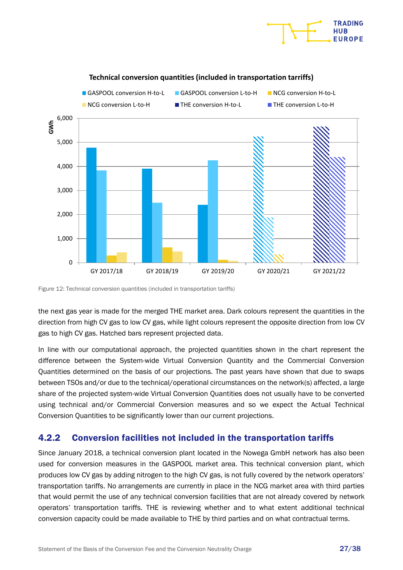



#### **Technical conversion quantities (included in transportation tarriffs)**

<span id="page-26-1"></span>Figure 12: Technical conversion quantities (included in transportation tariffs)

the next gas year is made for the merged THE market area. Dark colours represent the quantities in the direction from high CV gas to low CV gas, while light colours represent the opposite direction from low CV gas to high CV gas. Hatched bars represent projected data.

In line with our computational approach, the projected quantities shown in the chart represent the difference between the System-wide Virtual Conversion Quantity and the Commercial Conversion Quantities determined on the basis of our projections. The past years have shown that due to swaps between TSOs and/or due to the technical/operational circumstances on the network(s) affected, a large share of the projected system-wide Virtual Conversion Quantities does not usually have to be converted using technical and/or Commercial Conversion measures and so we expect the Actual Technical Conversion Quantities to be significantly lower than our current projections.

#### <span id="page-26-0"></span>4.2.2 Conversion facilities not included in the transportation tariffs

Since January 2018, a technical conversion plant located in the Nowega GmbH network has also been used for conversion measures in the GASPOOL market area. This technical conversion plant, which produces low CV gas by adding nitrogen to the high CV gas, is not fully covered by the network operators' transportation tariffs. No arrangements are currently in place in the NCG market area with third parties that would permit the use of any technical conversion facilities that are not already covered by network operators' transportation tariffs. THE is reviewing whether and to what extent additional technical conversion capacity could be made available to THE by third parties and on what contractual terms.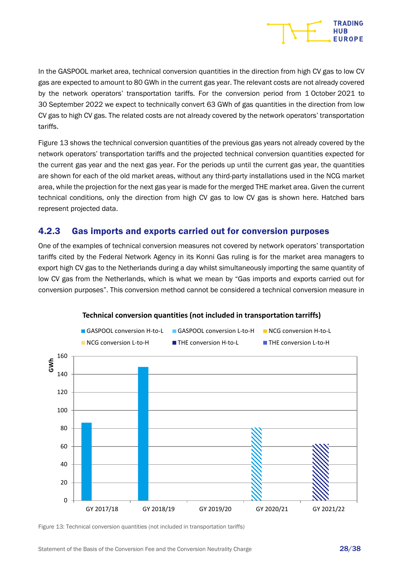

In the GASPOOL market area, technical conversion quantities in the direction from high CV gas to low CV gas are expected to amount to 80 GWh in the current gas year. The relevant costs are not already covered by the network operators' transportation tariffs. For the conversion period from 1 October 2021 to 30 September 2022 we expect to technically convert 63 GWh of gas quantities in the direction from low CV gas to high CV gas. The related costs are not already covered by the network operators' transportation tariffs.

[Figure](#page-27-1) 13 shows the technical conversion quantities of the previous gas years not already covered by the network operators' transportation tariffs and the projected technical conversion quantities expected for the current gas year and the next gas year. For the periods up until the current gas year, the quantities are shown for each of the old market areas, without any third-party installations used in the NCG market area, while the projection for the next gas year is made for the merged THE market area. Given the current technical conditions, only the direction from high CV gas to low CV gas is shown here. Hatched bars represent projected data.

#### <span id="page-27-0"></span>4.2.3 Gas imports and exports carried out for conversion purposes

One of the examples of technical conversion measures not covered by network operators' transportation tariffs cited by the Federal Network Agency in its Konni Gas ruling is for the market area managers to export high CV gas to the Netherlands during a day whilst simultaneously importing the same quantity of low CV gas from the Netherlands, which is what we mean by "Gas imports and exports carried out for conversion purposes". This conversion method cannot be considered a technical conversion measure in



#### **Technical conversion quantities (not included in transportation tarriffs)**

<span id="page-27-1"></span>Figure 13: Technical conversion quantities (not included in transportation tariffs)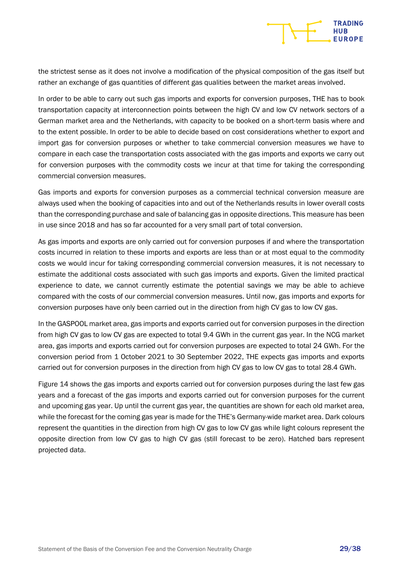

the strictest sense as it does not involve a modification of the physical composition of the gas itself but rather an exchange of gas quantities of different gas qualities between the market areas involved.

In order to be able to carry out such gas imports and exports for conversion purposes, THE has to book transportation capacity at interconnection points between the high CV and low CV network sectors of a German market area and the Netherlands, with capacity to be booked on a short-term basis where and to the extent possible. In order to be able to decide based on cost considerations whether to export and import gas for conversion purposes or whether to take commercial conversion measures we have to compare in each case the transportation costs associated with the gas imports and exports we carry out for conversion purposes with the commodity costs we incur at that time for taking the corresponding commercial conversion measures.

Gas imports and exports for conversion purposes as a commercial technical conversion measure are always used when the booking of capacities into and out of the Netherlands results in lower overall costs than the corresponding purchase and sale of balancing gas in opposite directions. This measure has been in use since 2018 and has so far accounted for a very small part of total conversion.

As gas imports and exports are only carried out for conversion purposes if and where the transportation costs incurred in relation to these imports and exports are less than or at most equal to the commodity costs we would incur for taking corresponding commercial conversion measures, it is not necessary to estimate the additional costs associated with such gas imports and exports. Given the limited practical experience to date, we cannot currently estimate the potential savings we may be able to achieve compared with the costs of our commercial conversion measures. Until now, gas imports and exports for conversion purposes have only been carried out in the direction from high CV gas to low CV gas.

In the GASPOOL market area, gas imports and exports carried out for conversion purposes in the direction from high CV gas to low CV gas are expected to total 9.4 GWh in the current gas year. In the NCG market area, gas imports and exports carried out for conversion purposes are expected to total 24 GWh. For the conversion period from 1 October 2021 to 30 September 2022, THE expects gas imports and exports carried out for conversion purposes in the direction from high CV gas to low CV gas to total 28.4 GWh.

[Figure](#page-29-1) 14 shows the gas imports and exports carried out for conversion purposes during the last few gas years and a forecast of the gas imports and exports carried out for conversion purposes for the current and upcoming gas year. Up until the current gas year, the quantities are shown for each old market area, while the forecast for the coming gas year is made for the THE's Germany-wide market area. Dark colours represent the quantities in the direction from high CV gas to low CV gas while light colours represent the opposite direction from low CV gas to high CV gas (still forecast to be zero). Hatched bars represent projected data.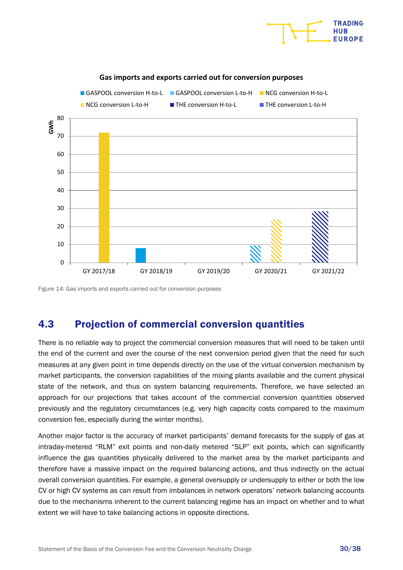

#### **Gas imports and exports carried out for conversion purposes**

<span id="page-29-1"></span>Figure 14: Gas imports and exports carried out for conversion purposes

## <span id="page-29-0"></span>4.3 Projection of commercial conversion quantities

There is no reliable way to project the commercial conversion measures that will need to be taken until the end of the current and over the course of the next conversion period given that the need for such measures at any given point in time depends directly on the use of the virtual conversion mechanism by market participants, the conversion capabilities of the mixing plants available and the current physical state of the network, and thus on system balancing requirements. Therefore, we have selected an approach for our projections that takes account of the commercial conversion quantities observed previously and the regulatory circumstances (e.g. very high capacity costs compared to the maximum conversion fee, especially during the winter months).

Another major factor is the accuracy of market participants' demand forecasts for the supply of gas at intraday-metered "RLM" exit points and non-daily metered "SLP" exit points, which can significantly influence the gas quantities physically delivered to the market area by the market participants and therefore have a massive impact on the required balancing actions, and thus indirectly on the actual overall conversion quantities. For example, a general oversupply or undersupply to either or both the low CV or high CV systems as can result from imbalances in network operators' network balancing accounts due to the mechanisms inherent to the current balancing regime has an impact on whether and to what extent we will have to take balancing actions in opposite directions.

**TRADING HIIR**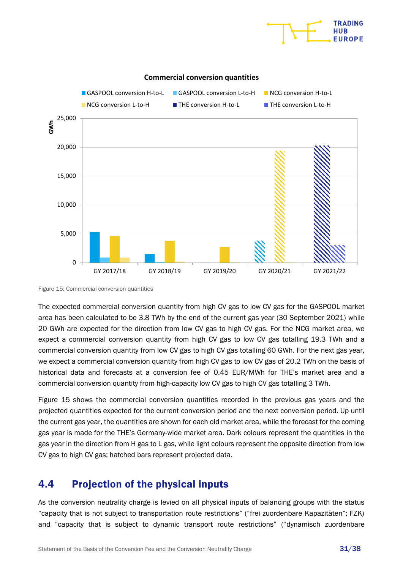



#### **Commercial conversion quantities**

<span id="page-30-1"></span>Figure 15: Commercial conversion quantities

The expected commercial conversion quantity from high CV gas to low CV gas for the GASPOOL market area has been calculated to be 3.8 TWh by the end of the current gas year (30 September 2021) while 20 GWh are expected for the direction from low CV gas to high CV gas. For the NCG market area, we expect a commercial conversion quantity from high CV gas to low CV gas totalling 19.3 TWh and a commercial conversion quantity from low CV gas to high CV gas totalling 60 GWh. For the next gas year, we expect a commercial conversion quantity from high CV gas to low CV gas of 20.2 TWh on the basis of historical data and forecasts at a conversion fee of 0.45 EUR/MWh for THE's market area and a commercial conversion quantity from high-capacity low CV gas to high CV gas totalling 3 TWh.

[Figure](#page-30-1) 15 shows the commercial conversion quantities recorded in the previous gas years and the projected quantities expected for the current conversion period and the next conversion period. Up until the current gas year, the quantities are shown for each old market area, while the forecast for the coming gas year is made for the THE's Germany-wide market area. Dark colours represent the quantities in the gas year in the direction from H gas to L gas, while light colours represent the opposite direction from low CV gas to high CV gas; hatched bars represent projected data.

## <span id="page-30-0"></span>4.4 Projection of the physical inputs

As the conversion neutrality charge is levied on all physical inputs of balancing groups with the status "capacity that is not subject to transportation route restrictions" ("frei zuordenbare Kapazitäten"; FZK) and "capacity that is subject to dynamic transport route restrictions" ("dynamisch zuordenbare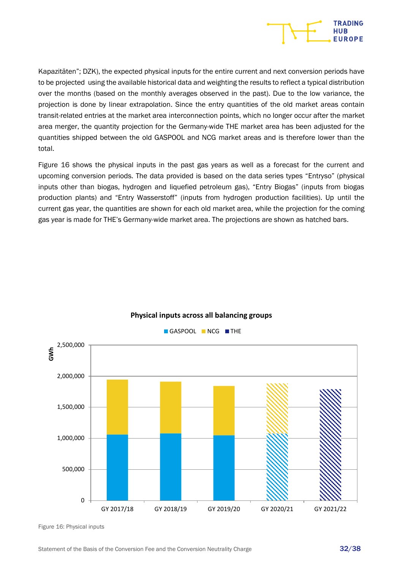

Kapazitäten"; DZK), the expected physical inputs for the entire current and next conversion periods have to be projected using the available historical data and weighting the results to reflect a typical distribution over the months (based on the monthly averages observed in the past). Due to the low variance, the projection is done by linear extrapolation. Since the entry quantities of the old market areas contain transit-related entries at the market area interconnection points, which no longer occur after the market area merger, the quantity projection for the Germany-wide THE market area has been adjusted for the quantities shipped between the old GASPOOL and NCG market areas and is therefore lower than the total.

[Figure](#page-31-0) 16 shows the physical inputs in the past gas years as well as a forecast for the current and upcoming conversion periods. The data provided is based on the data series types "Entryso" (physical inputs other than biogas, hydrogen and liquefied petroleum gas), "Entry Biogas" (inputs from biogas production plants) and "Entry Wasserstoff" (inputs from hydrogen production facilities). Up until the current gas year, the quantities are shown for each old market area, while the projection for the coming gas year is made for THE's Germany-wide market area. The projections are shown as hatched bars.



#### **Physical inputs across all balancing groups**

<span id="page-31-0"></span>Figure 16: Physical inputs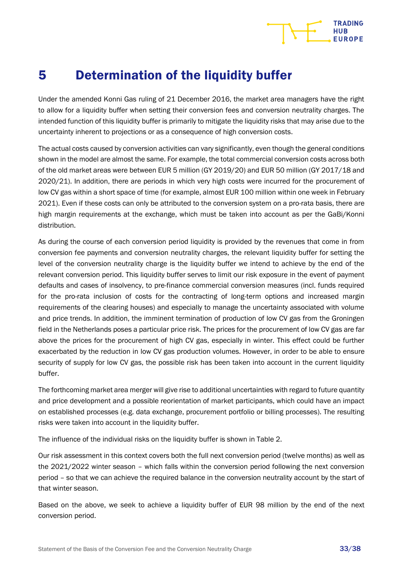## **TRADING HUB**

# <span id="page-32-1"></span><span id="page-32-0"></span>5 Determination of the liquidity buffer

Under the amended Konni Gas ruling of 21 December 2016, the market area managers have the right to allow for a liquidity buffer when setting their conversion fees and conversion neutrality charges. The intended function of this liquidity buffer is primarily to mitigate the liquidity risks that may arise due to the uncertainty inherent to projections or as a consequence of high conversion costs.

The actual costs caused by conversion activities can vary significantly, even though the general conditions shown in the model are almost the same. For example, the total commercial conversion costs across both of the old market areas were between EUR 5 million (GY 2019/20) and EUR 50 million (GY 2017/18 and 2020/21). In addition, there are periods in which very high costs were incurred for the procurement of low CV gas within a short space of time (for example, almost EUR 100 million within one week in February 2021). Even if these costs can only be attributed to the conversion system on a pro-rata basis, there are high margin requirements at the exchange, which must be taken into account as per the GaBi/Konni distribution.

As during the course of each conversion period liquidity is provided by the revenues that come in from conversion fee payments and conversion neutrality charges, the relevant liquidity buffer for setting the level of the conversion neutrality charge is the liquidity buffer we intend to achieve by the end of the relevant conversion period. This liquidity buffer serves to limit our risk exposure in the event of payment defaults and cases of insolvency, to pre-finance commercial conversion measures (incl. funds required for the pro-rata inclusion of costs for the contracting of long-term options and increased margin requirements of the clearing houses) and especially to manage the uncertainty associated with volume and price trends. In addition, the imminent termination of production of low CV gas from the Groningen field in the Netherlands poses a particular price risk. The prices for the procurement of low CV gas are far above the prices for the procurement of high CV gas, especially in winter. This effect could be further exacerbated by the reduction in low CV gas production volumes. However, in order to be able to ensure security of supply for low CV gas, the possible risk has been taken into account in the current liquidity buffer.

The forthcoming market area merger will give rise to additional uncertainties with regard to future quantity and price development and a possible reorientation of market participants, which could have an impact on established processes (e.g. data exchange, procurement portfolio or billing processes). The resulting risks were taken into account in the liquidity buffer.

The influence of the individual risks on the liquidity buffer is shown in [Table 2.](#page-33-0)

Our risk assessment in this context covers both the full next conversion period (twelve months) as well as the 2021/2022 winter season – which falls within the conversion period following the next conversion period – so that we can achieve the required balance in the conversion neutrality account by the start of that winter season.

Based on the above, we seek to achieve a liquidity buffer of EUR 98 million by the end of the next conversion period.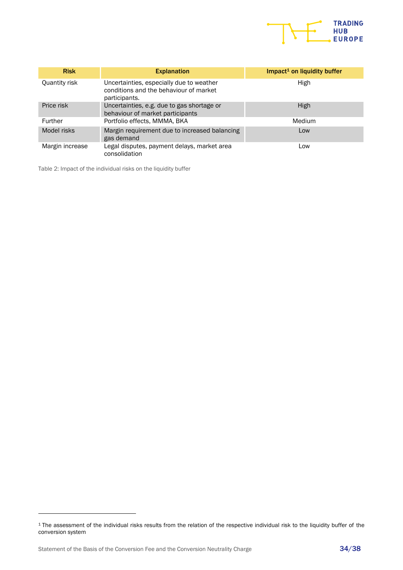

| <b>Risk</b>     | <b>Explanation</b>                                                                                  | Impact <sup>1</sup> on liquidity buffer |
|-----------------|-----------------------------------------------------------------------------------------------------|-----------------------------------------|
| Quantity risk   | Uncertainties, especially due to weather<br>conditions and the behaviour of market<br>participants. | High                                    |
| Price risk      | Uncertainties, e.g. due to gas shortage or<br>behaviour of market participants                      | High                                    |
| Further         | Portfolio effects, MMMA, BKA                                                                        | Medium                                  |
| Model risks     | Margin requirement due to increased balancing<br>gas demand                                         | Low                                     |
| Margin increase | Legal disputes, payment delays, market area<br>consolidation                                        | Low                                     |

<span id="page-33-0"></span>Table 2: Impact of the individual risks on the liquidity buffer

<sup>&</sup>lt;sup>1</sup> The assessment of the individual risks results from the relation of the respective individual risk to the liquidity buffer of the conversion system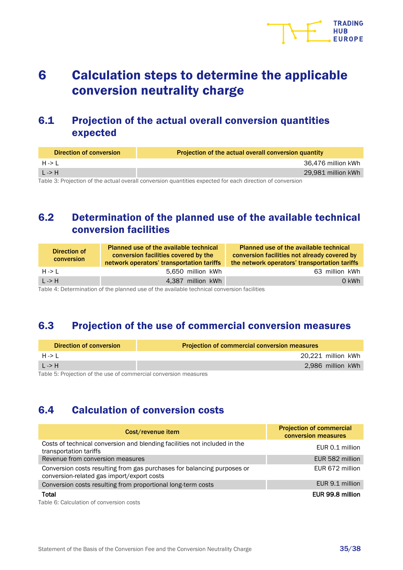# <span id="page-34-0"></span>6 Calculation steps to determine the applicable conversion neutrality charge

## <span id="page-34-1"></span>6.1 Projection of the actual overall conversion quantities expected

| <b>Direction of conversion</b> | Projection of the actual overall conversion quantity |
|--------------------------------|------------------------------------------------------|
| $H \rightarrow L$              | 36,476 million kWh                                   |
| $L \rightarrow H$              | 29,981 million kWh                                   |
| _ _                            |                                                      |

<span id="page-34-5"></span><span id="page-34-2"></span>Table 3: Projection of the actual overall conversion quantities expected for each direction of conversion

## 6.2 Determination of the planned use of the available technical conversion facilities

| Direction of<br>conversion | <b>Planned use of the available technical</b><br>conversion facilities covered by the<br>network operators' transportation tariffs | <b>Planned use of the available technical</b><br>conversion facilities not already covered by<br>the network operators' transportation tariffs |
|----------------------------|------------------------------------------------------------------------------------------------------------------------------------|------------------------------------------------------------------------------------------------------------------------------------------------|
| $H \rightarrow L$          | 5.650 million kWh                                                                                                                  | 63 million kWh                                                                                                                                 |
| $L \rightarrow H$          | 4.387 million kWh                                                                                                                  | 0 kWh                                                                                                                                          |

<span id="page-34-6"></span><span id="page-34-3"></span>Table 4: Determination of the planned use of the available technical conversion facilities

## 6.3 Projection of the use of commercial conversion measures

| <b>Direction of conversion</b>                                   | <b>Projection of commercial conversion measures</b> |  |
|------------------------------------------------------------------|-----------------------------------------------------|--|
| $H \rightarrow L$                                                | 20,221 million kWh                                  |  |
| L > H                                                            | 2.986 million kWh                                   |  |
| Table 5: Projection of the use of commercial conversion measures |                                                     |  |

<span id="page-34-7"></span><span id="page-34-4"></span>Table 5: Projection of the use of commercial conversion measures

## 6.4 Calculation of conversion costs

| Cost/revenue item                                                                                                     | <b>Projection of commercial</b><br>conversion measures |
|-----------------------------------------------------------------------------------------------------------------------|--------------------------------------------------------|
| Costs of technical conversion and blending facilities not included in the<br>transportation tariffs                   | EUR 0.1 million                                        |
| Revenue from conversion measures                                                                                      | EUR 582 million                                        |
| Conversion costs resulting from gas purchases for balancing purposes or<br>conversion-related gas import/export costs | EUR 672 million                                        |
| Conversion costs resulting from proportional long-term costs                                                          | EUR 9.1 million                                        |
| Total                                                                                                                 | EUR 99.8 million                                       |

<span id="page-34-8"></span>Table 6: Calculation of conversion costs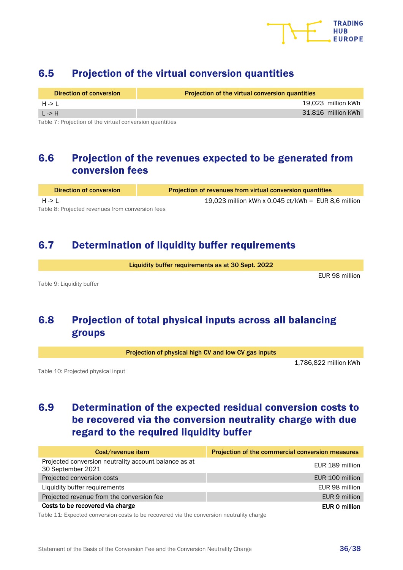

## <span id="page-35-0"></span>6.5 Projection of the virtual conversion quantities

| Direction of conversion | Projection of the virtual conversion quantities |
|-------------------------|-------------------------------------------------|
| $H \rightarrow L$       | 19.023 million kWh                              |
| L > H                   | 31,816 million kWh                              |
|                         |                                                 |

<span id="page-35-5"></span>Table 7: Projection of the virtual conversion quantities

## <span id="page-35-1"></span>6.6 Projection of the revenues expected to be generated from conversion fees

<span id="page-35-6"></span>Direction of conversion Projection of revenues from virtual conversion quantities H -> L 19,023 million kWh x 0.045 ct/kWh = EUR 8,6 million Table 8: Projected revenues from conversion fees

### <span id="page-35-2"></span>6.7 Determination of liquidity buffer requirements

Liquidity buffer requirements as at 30 Sept. 2022

<span id="page-35-7"></span><span id="page-35-3"></span>Table 9: Liquidity buffer

#### EUR 98 million

## 6.8 Projection of total physical inputs across all balancing groups

Projection of physical high CV and low CV gas inputs

1,786,822 million kWh

<span id="page-35-8"></span><span id="page-35-4"></span>Table 10: Projected physical input

## 6.9 Determination of the expected residual conversion costs to be recovered via the conversion neutrality charge with due regard to the required liquidity buffer

| Cost/revenue item                                                          | Projection of the commercial conversion measures |
|----------------------------------------------------------------------------|--------------------------------------------------|
| Projected conversion neutrality account balance as at<br>30 September 2021 | EUR 189 million                                  |
| Projected conversion costs                                                 | EUR 100 million                                  |
| Liquidity buffer requirements                                              | EUR 98 million                                   |
| Projected revenue from the conversion fee                                  | EUR 9 million                                    |
| Costs to be recovered via charge                                           | EUR 0 million                                    |

<span id="page-35-9"></span>Table 11: Expected conversion costs to be recovered via the conversion neutrality charge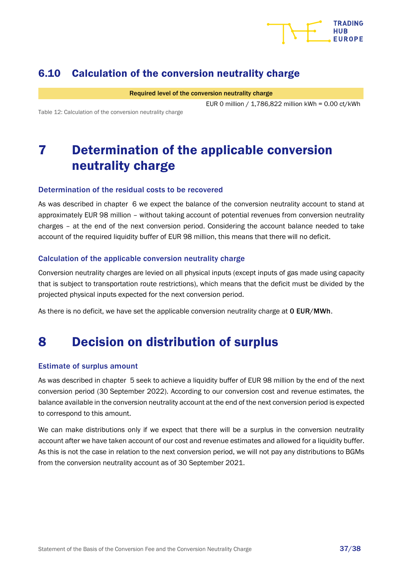

## <span id="page-36-0"></span>6.10 Calculation of the conversion neutrality charge

Required level of the conversion neutrality charge

EUR 0 million / 1,786,822 million kWh = 0.00 ct/kWh

<span id="page-36-3"></span><span id="page-36-1"></span>Table 12: Calculation of the conversion neutrality charge

# 7 Determination of the applicable conversion neutrality charge

#### Determination of the residual costs to be recovered

As was described in chapter [6](#page-34-0) we expect the balance of the conversion neutrality account to stand at approximately EUR 98 million – without taking account of potential revenues from conversion neutrality charges – at the end of the next conversion period. Considering the account balance needed to take account of the required liquidity buffer of EUR 98 million, this means that there will no deficit.

#### Calculation of the applicable conversion neutrality charge

Conversion neutrality charges are levied on all physical inputs (except inputs of gas made using capacity that is subject to transportation route restrictions), which means that the deficit must be divided by the projected physical inputs expected for the next conversion period.

As there is no deficit, we have set the applicable conversion neutrality charge at 0 EUR/MWh.

# <span id="page-36-2"></span>8 Decision on distribution of surplus

#### Estimate of surplus amount

As was described in chapter [5](#page-32-1) seek to achieve a liquidity buffer of EUR 98 million by the end of the next conversion period (30 September 2022). According to our conversion cost and revenue estimates, the balance available in the conversion neutrality account at the end of the next conversion period is expected to correspond to this amount.

We can make distributions only if we expect that there will be a surplus in the conversion neutrality account after we have taken account of our cost and revenue estimates and allowed for a liquidity buffer. As this is not the case in relation to the next conversion period, we will not pay any distributions to BGMs from the conversion neutrality account as of 30 September 2021.